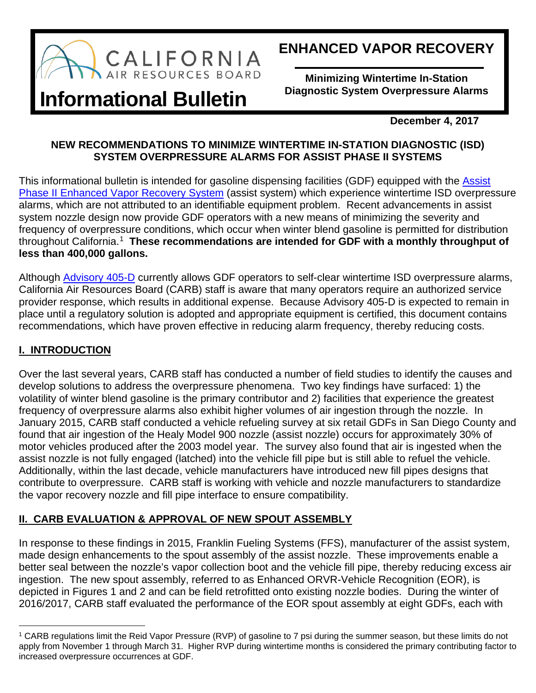

## **ENHANCED VAPOR RECOVERY**

**Minimizing Wintertime In-Station Diagnostic System Overpressure Alarms**

# **Informational Bulletin**

**December 4, 2017**

## **NEW RECOMMENDATIONS TO MINIMIZE WINTERTIME IN-STATION DIAGNOSTIC (ISD) SYSTEM OVERPRESSURE ALARMS FOR ASSIST PHASE II SYSTEMS**

This informational bulletin is intended for gasoline dispensing facilities (GDF) equipped with the [Assist](https://www.arb.ca.gov/vapor/eos/eo-vr202/eo-vr202.htm)  [Phase II Enhanced Vapor Recovery](https://www.arb.ca.gov/vapor/eos/eo-vr202/eo-vr202.htm) System (assist system) which experience wintertime ISD overpressure alarms, which are not attributed to an identifiable equipment problem. Recent advancements in assist system nozzle design now provide GDF operators with a new means of minimizing the severity and frequency of overpressure conditions, which occur when winter blend gasoline is permitted for distribution throughout California. [1](#page-0-0) **These recommendations are intended for GDF with a monthly throughput of less than 400,000 gallons.**

Although [Advisory 405-D](https://www.arb.ca.gov/vapor/advisories/adv405d.pdf) currently allows GDF operators to self-clear wintertime ISD overpressure alarms, California Air Resources Board (CARB) staff is aware that many operators require an authorized service provider response, which results in additional expense. Because Advisory 405-D is expected to remain in place until a regulatory solution is adopted and appropriate equipment is certified, this document contains recommendations, which have proven effective in reducing alarm frequency, thereby reducing costs.

## **I. INTRODUCTION**

Over the last several years, CARB staff has conducted a number of field studies to identify the causes and develop solutions to address the overpressure phenomena. Two key findings have surfaced: 1) the volatility of winter blend gasoline is the primary contributor and 2) facilities that experience the greatest frequency of overpressure alarms also exhibit higher volumes of air ingestion through the nozzle. In January 2015, CARB staff conducted a vehicle refueling survey at six retail GDFs in San Diego County and found that air ingestion of the Healy Model 900 nozzle (assist nozzle) occurs for approximately 30% of motor vehicles produced after the 2003 model year. The survey also found that air is ingested when the assist nozzle is not fully engaged (latched) into the vehicle fill pipe but is still able to refuel the vehicle. Additionally, within the last decade, vehicle manufacturers have introduced new fill pipes designs that contribute to overpressure. CARB staff is working with vehicle and nozzle manufacturers to standardize the vapor recovery nozzle and fill pipe interface to ensure compatibility.

## **II. CARB EVALUATION & APPROVAL OF NEW SPOUT ASSEMBLY**

In response to these findings in 2015, Franklin Fueling Systems (FFS), manufacturer of the assist system, made design enhancements to the spout assembly of the assist nozzle. These improvements enable a better seal between the nozzle's vapor collection boot and the vehicle fill pipe, thereby reducing excess air ingestion. The new spout assembly, referred to as Enhanced ORVR-Vehicle Recognition (EOR), is depicted in Figures 1 and 2 and can be field retrofitted onto existing nozzle bodies. During the winter of 2016/2017, CARB staff evaluated the performance of the EOR spout assembly at eight GDFs, each with

<span id="page-0-0"></span>t <sup>1</sup> CARB regulations limit the Reid Vapor Pressure (RVP) of gasoline to 7 psi during the summer season, but these limits do not apply from November 1 through March 31. Higher RVP during wintertime months is considered the primary contributing factor to increased overpressure occurrences at GDF.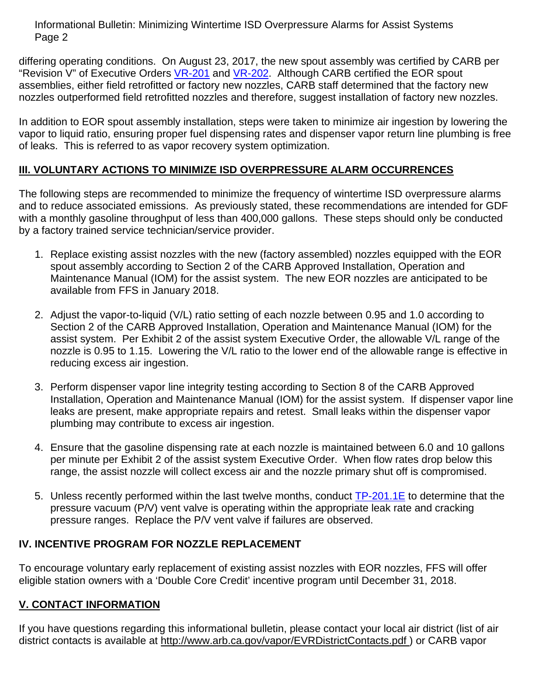Informational Bulletin: Minimizing Wintertime ISD Overpressure Alarms for Assist Systems Page 2

differing operating conditions. On August 23, 2017, the new spout assembly was certified by CARB per "Revision V" of Executive Orders [VR-201](https://www.arb.ca.gov/vapor/eos/eo-vr201/eo-vr201.htm) and [VR-202.](https://www.arb.ca.gov/vapor/eos/eo-vr202/eo-vr202.htm) Although CARB certified the EOR spout assemblies, either field retrofitted or factory new nozzles, CARB staff determined that the factory new nozzles outperformed field retrofitted nozzles and therefore, suggest installation of factory new nozzles.

In addition to EOR spout assembly installation, steps were taken to minimize air ingestion by lowering the vapor to liquid ratio, ensuring proper fuel dispensing rates and dispenser vapor return line plumbing is free of leaks. This is referred to as vapor recovery system optimization.

## **III. VOLUNTARY ACTIONS TO MINIMIZE ISD OVERPRESSURE ALARM OCCURRENCES**

The following steps are recommended to minimize the frequency of wintertime ISD overpressure alarms and to reduce associated emissions. As previously stated, these recommendations are intended for GDF with a monthly gasoline throughput of less than 400,000 gallons. These steps should only be conducted by a factory trained service technician/service provider.

- 1. Replace existing assist nozzles with the new (factory assembled) nozzles equipped with the EOR spout assembly according to Section 2 of the CARB Approved Installation, Operation and Maintenance Manual (IOM) for the assist system. The new EOR nozzles are anticipated to be available from FFS in January 2018.
- 2. Adjust the vapor-to-liquid (V/L) ratio setting of each nozzle between 0.95 and 1.0 according to Section 2 of the CARB Approved Installation, Operation and Maintenance Manual (IOM) for the assist system. Per Exhibit 2 of the assist system Executive Order, the allowable V/L range of the nozzle is 0.95 to 1.15. Lowering the V/L ratio to the lower end of the allowable range is effective in reducing excess air ingestion.
- 3. Perform dispenser vapor line integrity testing according to Section 8 of the CARB Approved Installation, Operation and Maintenance Manual (IOM) for the assist system. If dispenser vapor line leaks are present, make appropriate repairs and retest. Small leaks within the dispenser vapor plumbing may contribute to excess air ingestion.
- 4. Ensure that the gasoline dispensing rate at each nozzle is maintained between 6.0 and 10 gallons per minute per Exhibit 2 of the assist system Executive Order. When flow rates drop below this range, the assist nozzle will collect excess air and the nozzle primary shut off is compromised.
- 5. Unless recently performed within the last twelve months, conduct [TP-201.1E](https://www.arb.ca.gov/testmeth/vol2/tp201.1e_Oct2003.pdf) to determine that the pressure vacuum (P/V) vent valve is operating within the appropriate leak rate and cracking pressure ranges. Replace the P/V vent valve if failures are observed.

## **IV. INCENTIVE PROGRAM FOR NOZZLE REPLACEMENT**

To encourage voluntary early replacement of existing assist nozzles with EOR nozzles, FFS will offer eligible station owners with a 'Double Core Credit' incentive program until December 31, 2018.

#### **V. CONTACT INFORMATION**

If you have questions regarding this informational bulletin, please contact your local air district (list of air district contacts is available at <http://www.arb.ca.gov/vapor/EVRDistrictContacts.pdf> ) or CARB vapor